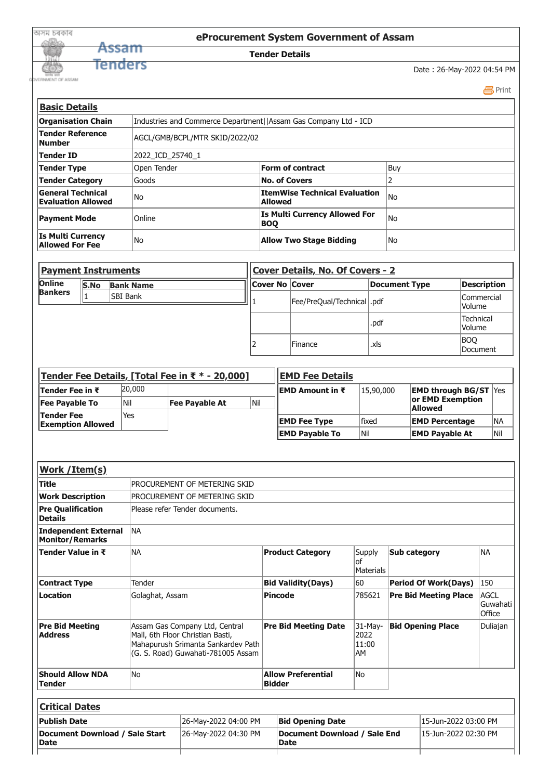|     | eProcurement System Government of Assam |
|-----|-----------------------------------------|
|     | <b>Tender Details</b>                   |
| ers |                                         |
|     |                                         |

Date : 26-May-2022 04:54 PM

 [Print](javascript:void(0);)

| <b>Basic Details</b>                                  |                                                                 |                                                 |      |  |  |
|-------------------------------------------------------|-----------------------------------------------------------------|-------------------------------------------------|------|--|--|
| <b>Organisation Chain</b>                             | Industries and Commerce Department  Assam Gas Company Ltd - ICD |                                                 |      |  |  |
| <b>Tender Reference</b><br>lNumber                    | AGCL/GMB/BCPL/MTR SKID/2022/02                                  |                                                 |      |  |  |
| Tender ID                                             | 2022 ICD 25740 1                                                |                                                 |      |  |  |
| Tender Type                                           | Open Tender                                                     | Form of contract                                | Buy  |  |  |
| <b>Tender Category</b>                                | Goods                                                           | <b>No. of Covers</b>                            |      |  |  |
| <b>General Technical</b><br><b>Evaluation Allowed</b> | lNo.                                                            | ItemWise Technical Evaluation<br><b>Allowed</b> | lNo  |  |  |
| <b>Payment Mode</b>                                   | <b>Online</b>                                                   | Is Multi Currency Allowed For<br> BOQ           | lNo  |  |  |
| <b>Is Multi Currency</b><br>Allowed For Fee           | lNo.                                                            | <b>Allow Two Stage Bidding</b>                  | lNo. |  |  |

| <b>Payment Instruments</b> |             |                  |                       | Cover Details, No. Of Covers - 2 |               |                                   |
|----------------------------|-------------|------------------|-----------------------|----------------------------------|---------------|-----------------------------------|
| Online                     | <b>S.No</b> | <b>Bank Name</b> | <b>Cover No Cover</b> |                                  | Document Type | <b>Description</b>                |
| <b>Bankers</b>             |             | <b>ISBI Bank</b> |                       | Fee/PreQual/Technical   .pdf     |               | <b>Commercial</b><br>Volume       |
|                            |             |                  |                       |                                  | .pdf          | <b>Technical</b><br><b>Volume</b> |
|                            |             |                  |                       | <b>Finance</b>                   | .xls          | BOQ<br><b>IDocument</b>           |

| Tender Fee Details, [Total Fee in ₹ $*$ - 20,000] |        |                | <b>IEMD Fee Details</b> |                       |           |                                    |            |
|---------------------------------------------------|--------|----------------|-------------------------|-----------------------|-----------|------------------------------------|------------|
| <b>Tender Fee in ₹</b>                            | 20,000 |                |                         | EMD Amount in ₹       | 15,90,000 | <b>EMD through BG/ST Yes</b>       |            |
| <b>Fee Payable To</b>                             | Nil    | Fee Payable At | Nil                     |                       |           | or EMD Exemption<br><b>Allowed</b> |            |
| <b>Tender Fee</b><br><b>Exemption Allowed</b>     | Yes    |                |                         | <b>EMD Fee Type</b>   | lfixed    | <b>EMD Percentage</b>              | <b>INA</b> |
|                                                   |        |                |                         | <b>EMD Payable To</b> | Nil       | <b>EMD Payable At</b>              | Nil        |

| Work / Item(s)                                 |                                                                                                                                                |                                            |                                       |                              |                                   |
|------------------------------------------------|------------------------------------------------------------------------------------------------------------------------------------------------|--------------------------------------------|---------------------------------------|------------------------------|-----------------------------------|
| <b>Title</b>                                   | PROCUREMENT OF METERING SKID                                                                                                                   |                                            |                                       |                              |                                   |
| <b>Work Description</b>                        | PROCUREMENT OF METERING SKID                                                                                                                   |                                            |                                       |                              |                                   |
| <b>Pre Qualification</b><br><b>Details</b>     | Please refer Tender documents.                                                                                                                 |                                            |                                       |                              |                                   |
| Independent External<br><b>Monitor/Remarks</b> | INA                                                                                                                                            |                                            |                                       |                              |                                   |
| Tender Value in ₹                              | INA                                                                                                                                            | <b>Product Category</b>                    | Supply<br>lof<br>Materials            | Sub category                 | <b>NA</b>                         |
| <b>Contract Type</b>                           | Tender                                                                                                                                         | <b>Bid Validity(Days)</b>                  | 60                                    | <b>Period Of Work(Days)</b>  | $ 150\rangle$                     |
| <b>Location</b>                                | Golaghat, Assam                                                                                                                                | <b>Pincode</b>                             | 785621                                | <b>Pre Bid Meeting Place</b> | <b>AGCL</b><br>Guwahati<br>Office |
| <b>Pre Bid Meeting</b><br><b>Address</b>       | Assam Gas Company Ltd, Central<br>Mall, 6th Floor Christian Basti,<br>Mahapurush Srimanta Sankardev Path<br>(G. S. Road) Guwahati-781005 Assam | <b>Pre Bid Meeting Date</b>                | 31-May-<br>2022<br>11:00<br><b>AM</b> | <b>Bid Opening Place</b>     | Duliajan                          |
| <b>Should Allow NDA</b><br>lTender             | lNo.                                                                                                                                           | <b>Allow Preferential</b><br><b>Bidder</b> | lNo.                                  |                              |                                   |

| <b>Critical Dates</b>                         |                      |                                             |                      |  |
|-----------------------------------------------|----------------------|---------------------------------------------|----------------------|--|
| <b>Publish Date</b>                           | 26-May-2022 04:00 PM | <b>Bid Opening Date</b>                     | 15-Jun-2022 03:00 PM |  |
| Document Download / Sale Start<br><b>Date</b> | 26-Mav-2022 04:30 PM | Document Download / Sale End<br><b>Date</b> | 15-Jun-2022 02:30 PM |  |
|                                               |                      |                                             |                      |  |